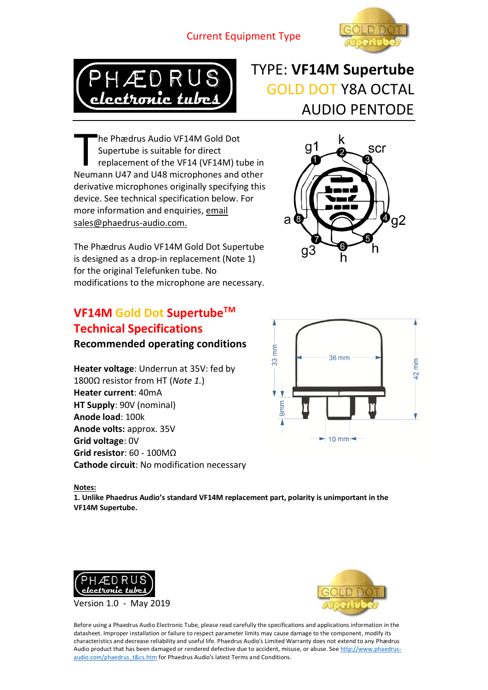#### Current Equipment Type





# TYPE: **VF14M Supertube** GOLD DOT Y8A OCTAL AUDIO PENTODE

he Phædrus Audio VF14M Gold Dot Supertube is suitable for direct replacement of the VF14 (VF14M) tube in The Phædrus Audio VF14M Gold Dot<br>
Supertube is suitable for direct<br>
replacement of the VF14 (VF14M) tube in<br>
Neumann U47 and U48 microphones and other derivative microphones originally specifying this device. See technical specification below. For more information and enquiries, email sales@phaedrus-audio.com.

The Phædrus Audio VF14M Gold Dot Supertube is designed as a drop-in replacement (Note 1) for the original Telefunken tube. No modifications to the microphone are necessary.

## **VF14M Gold Dot SupertubeTM Technical Specifications**

**Recommended operating conditions**

**Heater voltage**: Underrun at 35V: fed by 1800Ω resistor from HT (*Note 1.*) **Heater current**: 40mA **HT Supply**: 90V (nominal) **Anode load**: 100k **Anode volts:** approx. 35V **Grid voltage**: 0V **Grid resistor**: 60 - 100MΩ **Cathode circuit**: No modification necessary





#### **Notes:**

**1. Unlike Phaedrus Audio's standard VF14M replacement part, polarity is unimportant in the VF14M Supertube.**





Before using a Phaedrus Audio Electronic Tube, please read carefully the specifications and applications information in the datasheet. Improper installation or failure to respect parameter limits may cause damage to the component, modify its characteristics and decrease reliability and useful life. Phaedrus Audio's Limited Warranty does not extend to any Phӕdrus Audio product that has been damaged or rendered defective due to accident, misuse, or abuse. Se[e http://www.phaedrus](http://www.phaedrus-audio.com/phaedrus_t&cs.htm)[audio.com/phaedrus\\_t&cs.htm](http://www.phaedrus-audio.com/phaedrus_t&cs.htm) for Phaedrus Audio's latest Terms and Conditions.